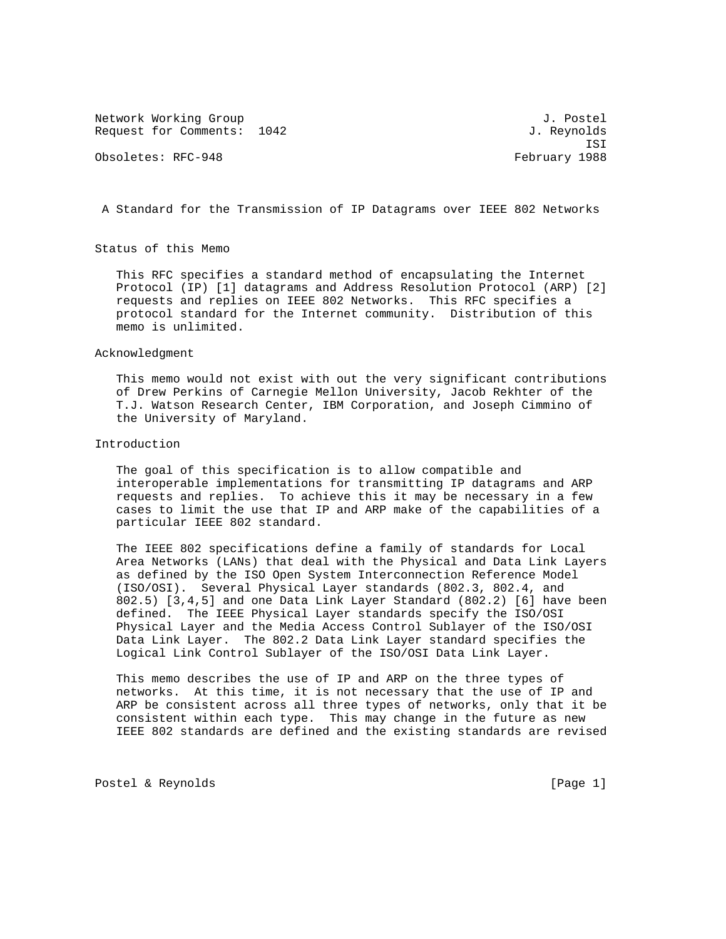Network Working Group<br>Request for Comments: 1042 J. Revnolds Request for Comments: 1042

Obsoletes: RFC-948 February 1988

ISI

A Standard for the Transmission of IP Datagrams over IEEE 802 Networks

Status of this Memo

 This RFC specifies a standard method of encapsulating the Internet Protocol (IP) [1] datagrams and Address Resolution Protocol (ARP) [2] requests and replies on IEEE 802 Networks. This RFC specifies a protocol standard for the Internet community. Distribution of this memo is unlimited.

Acknowledgment

 This memo would not exist with out the very significant contributions of Drew Perkins of Carnegie Mellon University, Jacob Rekhter of the T.J. Watson Research Center, IBM Corporation, and Joseph Cimmino of the University of Maryland.

Introduction

 The goal of this specification is to allow compatible and interoperable implementations for transmitting IP datagrams and ARP requests and replies. To achieve this it may be necessary in a few cases to limit the use that IP and ARP make of the capabilities of a particular IEEE 802 standard.

 The IEEE 802 specifications define a family of standards for Local Area Networks (LANs) that deal with the Physical and Data Link Layers as defined by the ISO Open System Interconnection Reference Model (ISO/OSI). Several Physical Layer standards (802.3, 802.4, and 802.5) [3,4,5] and one Data Link Layer Standard (802.2) [6] have been defined. The IEEE Physical Layer standards specify the ISO/OSI Physical Layer and the Media Access Control Sublayer of the ISO/OSI Data Link Layer. The 802.2 Data Link Layer standard specifies the Logical Link Control Sublayer of the ISO/OSI Data Link Layer.

 This memo describes the use of IP and ARP on the three types of networks. At this time, it is not necessary that the use of IP and ARP be consistent across all three types of networks, only that it be consistent within each type. This may change in the future as new IEEE 802 standards are defined and the existing standards are revised

Postel & Reynolds [Page 1]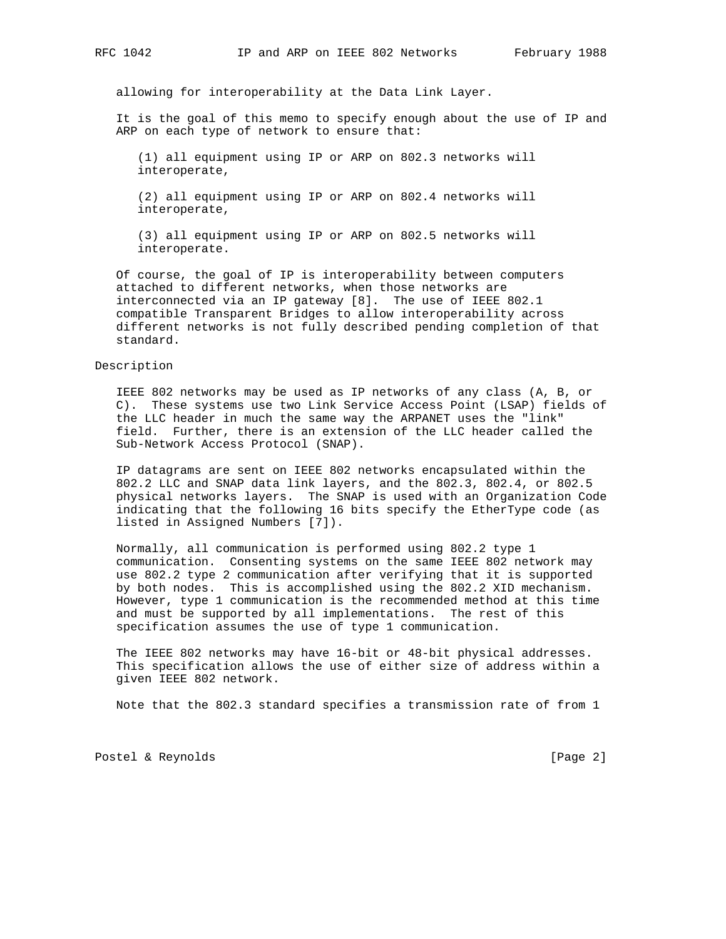allowing for interoperability at the Data Link Layer.

 It is the goal of this memo to specify enough about the use of IP and ARP on each type of network to ensure that:

 (1) all equipment using IP or ARP on 802.3 networks will interoperate,

 (2) all equipment using IP or ARP on 802.4 networks will interoperate,

 (3) all equipment using IP or ARP on 802.5 networks will interoperate.

 Of course, the goal of IP is interoperability between computers attached to different networks, when those networks are interconnected via an IP gateway [8]. The use of IEEE 802.1 compatible Transparent Bridges to allow interoperability across different networks is not fully described pending completion of that standard.

### Description

 IEEE 802 networks may be used as IP networks of any class (A, B, or C). These systems use two Link Service Access Point (LSAP) fields of the LLC header in much the same way the ARPANET uses the "link" field. Further, there is an extension of the LLC header called the Sub-Network Access Protocol (SNAP).

 IP datagrams are sent on IEEE 802 networks encapsulated within the 802.2 LLC and SNAP data link layers, and the 802.3, 802.4, or 802.5 physical networks layers. The SNAP is used with an Organization Code indicating that the following 16 bits specify the EtherType code (as listed in Assigned Numbers [7]).

 Normally, all communication is performed using 802.2 type 1 communication. Consenting systems on the same IEEE 802 network may use 802.2 type 2 communication after verifying that it is supported by both nodes. This is accomplished using the 802.2 XID mechanism. However, type 1 communication is the recommended method at this time and must be supported by all implementations. The rest of this specification assumes the use of type 1 communication.

 The IEEE 802 networks may have 16-bit or 48-bit physical addresses. This specification allows the use of either size of address within a given IEEE 802 network.

Note that the 802.3 standard specifies a transmission rate of from 1

Postel & Reynolds [Page 2]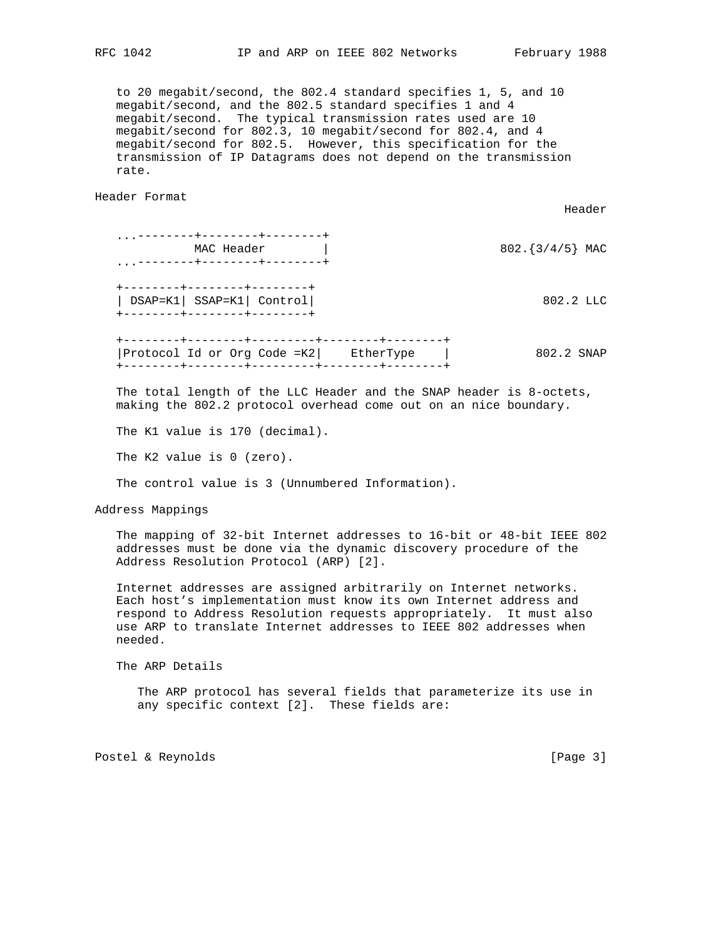to 20 megabit/second, the 802.4 standard specifies 1, 5, and 10 megabit/second, and the 802.5 standard specifies 1 and 4 megabit/second. The typical transmission rates used are 10 megabit/second for 802.3, 10 megabit/second for 802.4, and 4 megabit/second for 802.5. However, this specification for the transmission of IP Datagrams does not depend on the transmission rate.

Header Format

|                                                                                          | Header                                                             |
|------------------------------------------------------------------------------------------|--------------------------------------------------------------------|
| . ---------+--------+--------<br>MAC Header<br>. ---------+--------+--------             | 802. $\{3/4/5\}$ MAC                                               |
| --------+--------+-------+<br>DSAP=K1   SSAP=K1   Control  <br>-------+--------+-------+ | $802.2$ LLC                                                        |
| Protocol Id or Org Code =K2  EtherType                                                   | 802.2 SNAP                                                         |
|                                                                                          | The total length of the LLC Header and the SNAD header is 8-octets |

 The total length of the LLC Header and the SNAP header is 8-octets, making the 802.2 protocol overhead come out on an nice boundary.

The K1 value is 170 (decimal).

The K2 value is 0 (zero).

The control value is 3 (Unnumbered Information).

Address Mappings

 The mapping of 32-bit Internet addresses to 16-bit or 48-bit IEEE 802 addresses must be done via the dynamic discovery procedure of the Address Resolution Protocol (ARP) [2].

 Internet addresses are assigned arbitrarily on Internet networks. Each host's implementation must know its own Internet address and respond to Address Resolution requests appropriately. It must also use ARP to translate Internet addresses to IEEE 802 addresses when needed.

The ARP Details

 The ARP protocol has several fields that parameterize its use in any specific context [2]. These fields are:

Postel & Reynolds [Page 3]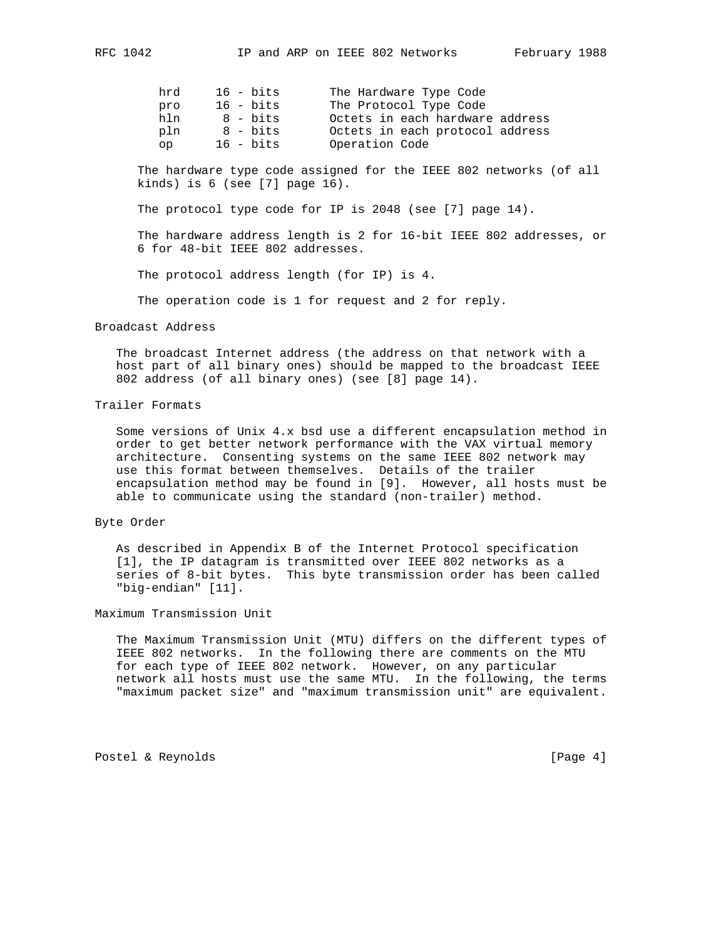| hrd      | $16$ - bits | The Hardware Type Code          |
|----------|-------------|---------------------------------|
| pro      | $16$ - bits | The Protocol Type Code          |
| hln      | 8 - bits    | Octets in each hardware address |
| pln      | 8 - bits    | Octets in each protocol address |
| $\alpha$ | $16$ - bits | Operation Code                  |

 The hardware type code assigned for the IEEE 802 networks (of all kinds) is  $6$  (see  $[7]$  page  $16$ ).

The protocol type code for IP is 2048 (see [7] page 14).

 The hardware address length is 2 for 16-bit IEEE 802 addresses, or 6 for 48-bit IEEE 802 addresses.

The protocol address length (for IP) is 4.

The operation code is 1 for request and 2 for reply.

### Broadcast Address

 The broadcast Internet address (the address on that network with a host part of all binary ones) should be mapped to the broadcast IEEE 802 address (of all binary ones) (see [8] page 14).

# Trailer Formats

 Some versions of Unix 4.x bsd use a different encapsulation method in order to get better network performance with the VAX virtual memory architecture. Consenting systems on the same IEEE 802 network may use this format between themselves. Details of the trailer encapsulation method may be found in [9]. However, all hosts must be able to communicate using the standard (non-trailer) method.

## Byte Order

 As described in Appendix B of the Internet Protocol specification [1], the IP datagram is transmitted over IEEE 802 networks as a series of 8-bit bytes. This byte transmission order has been called "big-endian" [11].

### Maximum Transmission Unit

 The Maximum Transmission Unit (MTU) differs on the different types of IEEE 802 networks. In the following there are comments on the MTU for each type of IEEE 802 network. However, on any particular network all hosts must use the same MTU. In the following, the terms "maximum packet size" and "maximum transmission unit" are equivalent.

Postel & Reynolds [Page 4]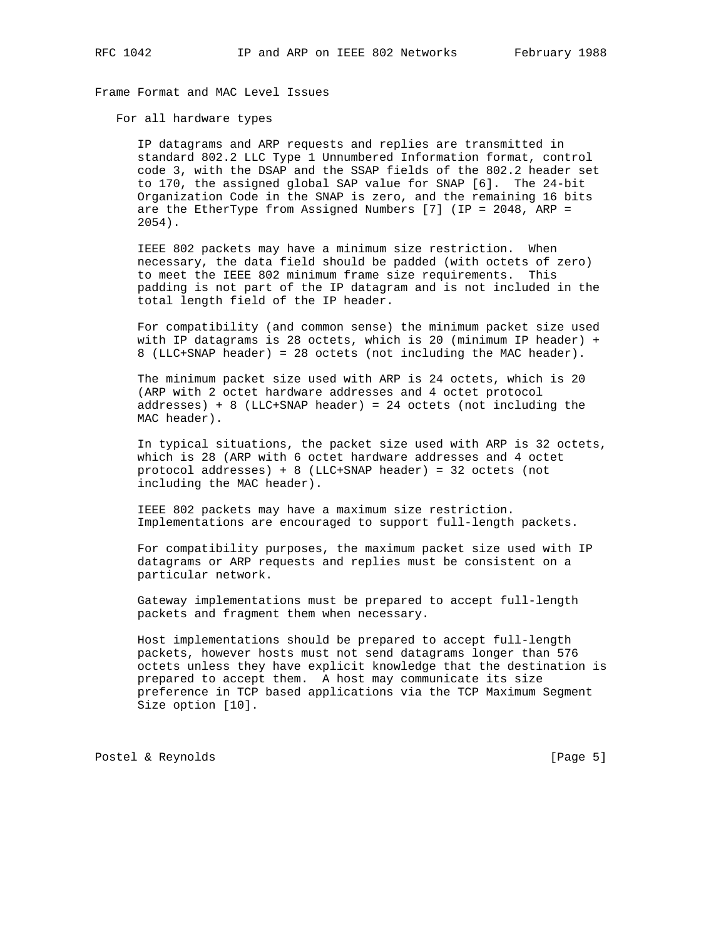Frame Format and MAC Level Issues

For all hardware types

 IP datagrams and ARP requests and replies are transmitted in standard 802.2 LLC Type 1 Unnumbered Information format, control code 3, with the DSAP and the SSAP fields of the 802.2 header set to 170, the assigned global SAP value for SNAP [6]. The 24-bit Organization Code in the SNAP is zero, and the remaining 16 bits are the EtherType from Assigned Numbers [7] (IP = 2048, ARP = 2054).

 IEEE 802 packets may have a minimum size restriction. When necessary, the data field should be padded (with octets of zero) to meet the IEEE 802 minimum frame size requirements. This padding is not part of the IP datagram and is not included in the total length field of the IP header.

 For compatibility (and common sense) the minimum packet size used with IP datagrams is 28 octets, which is 20 (minimum IP header) + 8 (LLC+SNAP header) = 28 octets (not including the MAC header).

 The minimum packet size used with ARP is 24 octets, which is 20 (ARP with 2 octet hardware addresses and 4 octet protocol addresses) + 8 (LLC+SNAP header) = 24 octets (not including the MAC header).

 In typical situations, the packet size used with ARP is 32 octets, which is 28 (ARP with 6 octet hardware addresses and 4 octet protocol addresses) + 8 (LLC+SNAP header) = 32 octets (not including the MAC header).

 IEEE 802 packets may have a maximum size restriction. Implementations are encouraged to support full-length packets.

 For compatibility purposes, the maximum packet size used with IP datagrams or ARP requests and replies must be consistent on a particular network.

 Gateway implementations must be prepared to accept full-length packets and fragment them when necessary.

 Host implementations should be prepared to accept full-length packets, however hosts must not send datagrams longer than 576 octets unless they have explicit knowledge that the destination is prepared to accept them. A host may communicate its size preference in TCP based applications via the TCP Maximum Segment Size option [10].

Postel & Reynolds [Page 5]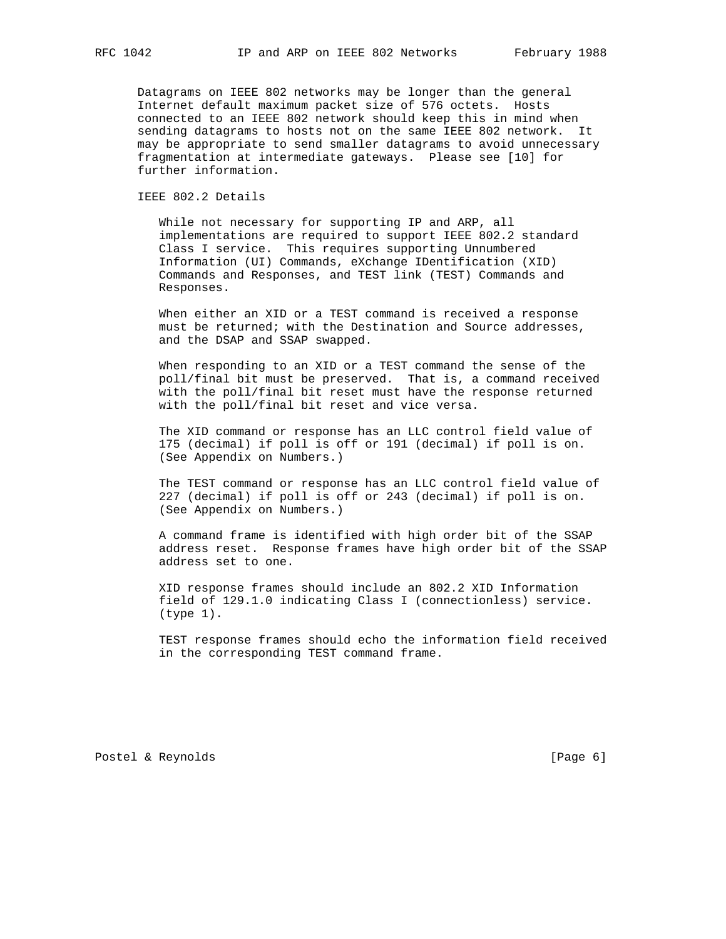Datagrams on IEEE 802 networks may be longer than the general Internet default maximum packet size of 576 octets. Hosts connected to an IEEE 802 network should keep this in mind when sending datagrams to hosts not on the same IEEE 802 network. It may be appropriate to send smaller datagrams to avoid unnecessary fragmentation at intermediate gateways. Please see [10] for further information.

IEEE 802.2 Details

 While not necessary for supporting IP and ARP, all implementations are required to support IEEE 802.2 standard Class I service. This requires supporting Unnumbered Information (UI) Commands, eXchange IDentification (XID) Commands and Responses, and TEST link (TEST) Commands and Responses.

 When either an XID or a TEST command is received a response must be returned; with the Destination and Source addresses, and the DSAP and SSAP swapped.

 When responding to an XID or a TEST command the sense of the poll/final bit must be preserved. That is, a command received with the poll/final bit reset must have the response returned with the poll/final bit reset and vice versa.

 The XID command or response has an LLC control field value of 175 (decimal) if poll is off or 191 (decimal) if poll is on. (See Appendix on Numbers.)

 The TEST command or response has an LLC control field value of 227 (decimal) if poll is off or 243 (decimal) if poll is on. (See Appendix on Numbers.)

 A command frame is identified with high order bit of the SSAP address reset. Response frames have high order bit of the SSAP address set to one.

 XID response frames should include an 802.2 XID Information field of 129.1.0 indicating Class I (connectionless) service. (type 1).

 TEST response frames should echo the information field received in the corresponding TEST command frame.

Postel & Reynolds [Page 6]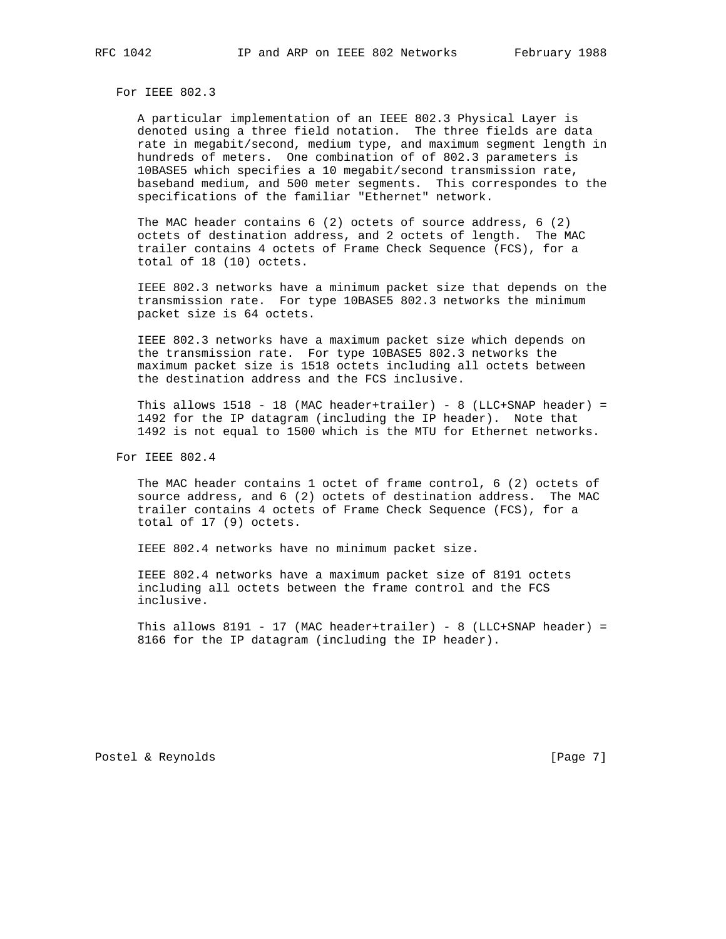For IEEE 802.3

 A particular implementation of an IEEE 802.3 Physical Layer is denoted using a three field notation. The three fields are data rate in megabit/second, medium type, and maximum segment length in hundreds of meters. One combination of of 802.3 parameters is 10BASE5 which specifies a 10 megabit/second transmission rate, baseband medium, and 500 meter segments. This correspondes to the specifications of the familiar "Ethernet" network.

 The MAC header contains 6 (2) octets of source address, 6 (2) octets of destination address, and 2 octets of length. The MAC trailer contains 4 octets of Frame Check Sequence (FCS), for a total of 18 (10) octets.

 IEEE 802.3 networks have a minimum packet size that depends on the transmission rate. For type 10BASE5 802.3 networks the minimum packet size is 64 octets.

 IEEE 802.3 networks have a maximum packet size which depends on the transmission rate. For type 10BASE5 802.3 networks the maximum packet size is 1518 octets including all octets between the destination address and the FCS inclusive.

This allows  $1518 - 18$  (MAC header+trailer) - 8 (LLC+SNAP header) = 1492 for the IP datagram (including the IP header). Note that 1492 is not equal to 1500 which is the MTU for Ethernet networks.

For IEEE 802.4

 The MAC header contains 1 octet of frame control, 6 (2) octets of source address, and 6 (2) octets of destination address. The MAC trailer contains 4 octets of Frame Check Sequence (FCS), for a total of 17 (9) octets.

IEEE 802.4 networks have no minimum packet size.

 IEEE 802.4 networks have a maximum packet size of 8191 octets including all octets between the frame control and the FCS inclusive.

This allows 8191 - 17 (MAC header+trailer) - 8 (LLC+SNAP header) = 8166 for the IP datagram (including the IP header).

Postel & Reynolds [Page 7]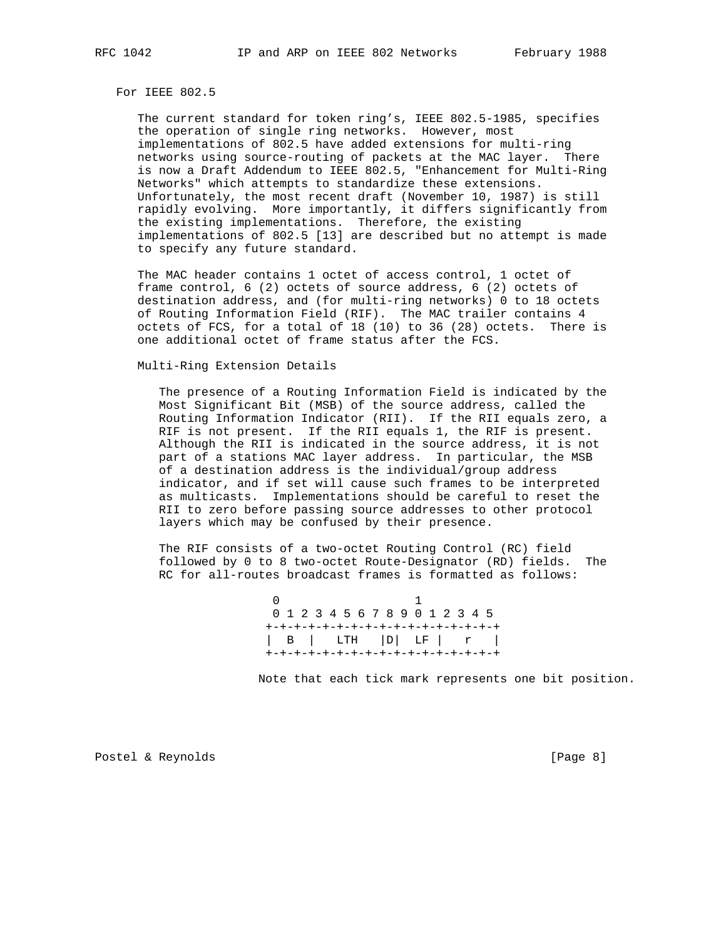For IEEE 802.5

 The current standard for token ring's, IEEE 802.5-1985, specifies the operation of single ring networks. However, most implementations of 802.5 have added extensions for multi-ring networks using source-routing of packets at the MAC layer. There is now a Draft Addendum to IEEE 802.5, "Enhancement for Multi-Ring Networks" which attempts to standardize these extensions. Unfortunately, the most recent draft (November 10, 1987) is still rapidly evolving. More importantly, it differs significantly from the existing implementations. Therefore, the existing implementations of 802.5 [13] are described but no attempt is made to specify any future standard.

 The MAC header contains 1 octet of access control, 1 octet of frame control, 6 (2) octets of source address, 6 (2) octets of destination address, and (for multi-ring networks) 0 to 18 octets of Routing Information Field (RIF). The MAC trailer contains 4 octets of FCS, for a total of 18 (10) to 36 (28) octets. There is one additional octet of frame status after the FCS.

Multi-Ring Extension Details

 The presence of a Routing Information Field is indicated by the Most Significant Bit (MSB) of the source address, called the Routing Information Indicator (RII). If the RII equals zero, a RIF is not present. If the RII equals 1, the RIF is present. Although the RII is indicated in the source address, it is not part of a stations MAC layer address. In particular, the MSB of a destination address is the individual/group address indicator, and if set will cause such frames to be interpreted as multicasts. Implementations should be careful to reset the RII to zero before passing source addresses to other protocol layers which may be confused by their presence.

 The RIF consists of a two-octet Routing Control (RC) field followed by 0 to 8 two-octet Route-Designator (RD) fields. The RC for all-routes broadcast frames is formatted as follows:

0 1 0 1 2 3 4 5 6 7 8 9 0 1 2 3 4 5 +-+-+-+-+-+-+-+-+-+-+-+-+-+-+-+-+ | B | LTH |D| LF | r | +-+-+-+-+-+-+-+-+-+-+-+-+-+-+-+-+

Note that each tick mark represents one bit position.

Postel & Reynolds [Page 8]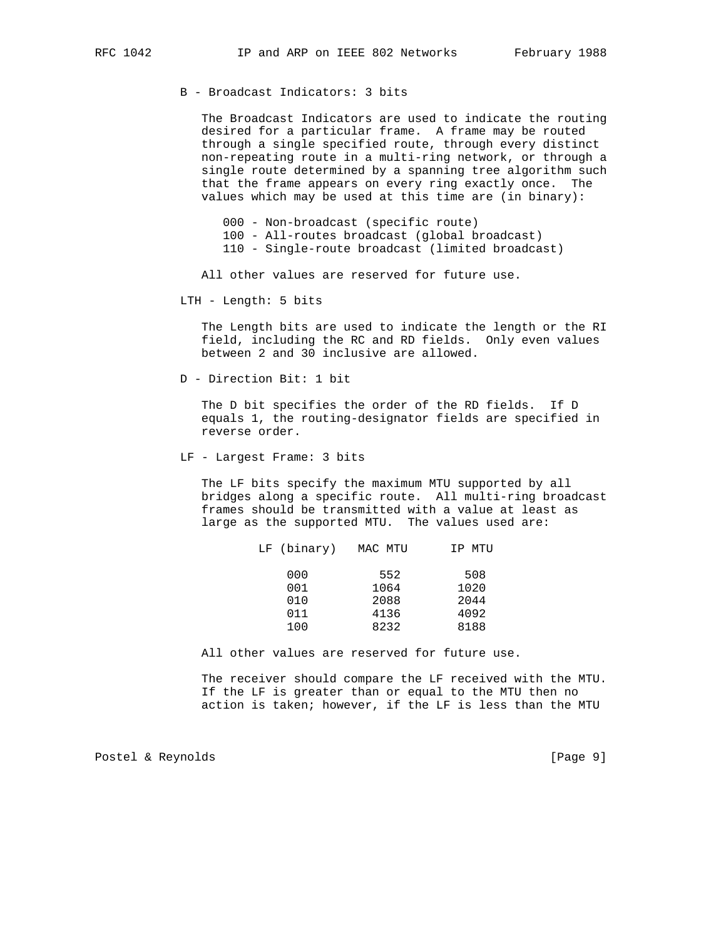B - Broadcast Indicators: 3 bits

 The Broadcast Indicators are used to indicate the routing desired for a particular frame. A frame may be routed through a single specified route, through every distinct non-repeating route in a multi-ring network, or through a single route determined by a spanning tree algorithm such that the frame appears on every ring exactly once. The values which may be used at this time are (in binary):

 000 - Non-broadcast (specific route) 100 - All-routes broadcast (global broadcast) 110 - Single-route broadcast (limited broadcast)

All other values are reserved for future use.

LTH - Length: 5 bits

 The Length bits are used to indicate the length or the RI field, including the RC and RD fields. Only even values between 2 and 30 inclusive are allowed.

D - Direction Bit: 1 bit

 The D bit specifies the order of the RD fields. If D equals 1, the routing-designator fields are specified in reverse order.

LF - Largest Frame: 3 bits

 The LF bits specify the maximum MTU supported by all bridges along a specific route. All multi-ring broadcast frames should be transmitted with a value at least as large as the supported MTU. The values used are:

| LF (binary) | MAC MTU | IP MTU |
|-------------|---------|--------|
| 000         | 552     | 508    |
| 001         | 1064    | 1020   |
| 010         | 2088    | 2044   |
| 011         | 4136    | 4092   |
| 100         | 8232    | 8188   |

All other values are reserved for future use.

 The receiver should compare the LF received with the MTU. If the LF is greater than or equal to the MTU then no action is taken; however, if the LF is less than the MTU

Postel & Reynolds [Page 9]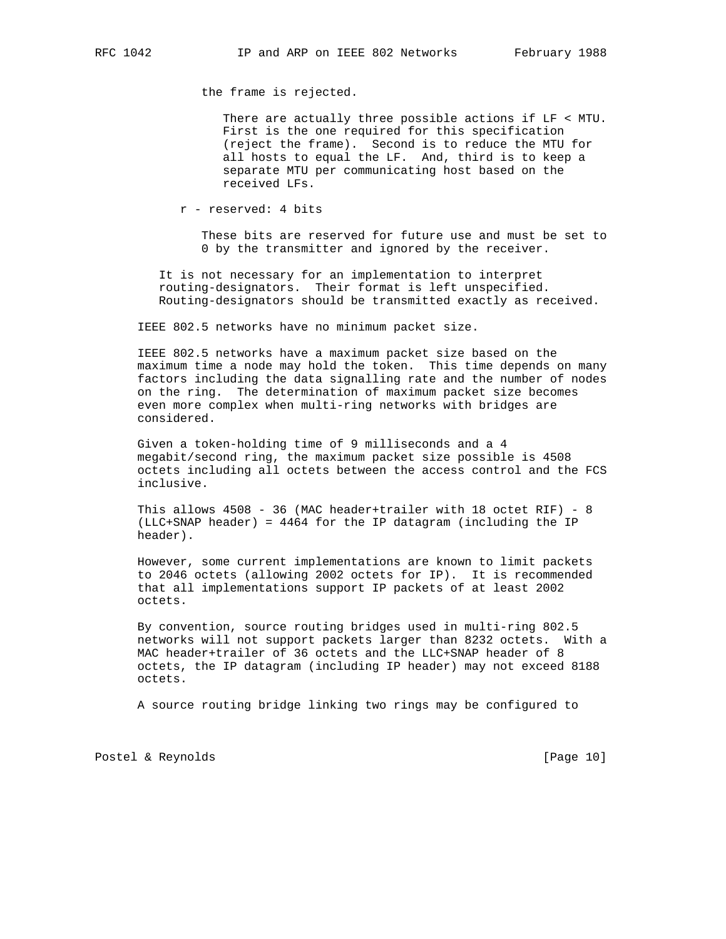the frame is rejected.

 There are actually three possible actions if LF < MTU. First is the one required for this specification (reject the frame). Second is to reduce the MTU for all hosts to equal the LF. And, third is to keep a separate MTU per communicating host based on the received LFs.

r - reserved: 4 bits

 These bits are reserved for future use and must be set to 0 by the transmitter and ignored by the receiver.

 It is not necessary for an implementation to interpret routing-designators. Their format is left unspecified. Routing-designators should be transmitted exactly as received.

IEEE 802.5 networks have no minimum packet size.

 IEEE 802.5 networks have a maximum packet size based on the maximum time a node may hold the token. This time depends on many factors including the data signalling rate and the number of nodes on the ring. The determination of maximum packet size becomes even more complex when multi-ring networks with bridges are considered.

 Given a token-holding time of 9 milliseconds and a 4 megabit/second ring, the maximum packet size possible is 4508 octets including all octets between the access control and the FCS inclusive.

 This allows 4508 - 36 (MAC header+trailer with 18 octet RIF) - 8 (LLC+SNAP header) = 4464 for the IP datagram (including the IP header).

 However, some current implementations are known to limit packets to 2046 octets (allowing 2002 octets for IP). It is recommended that all implementations support IP packets of at least 2002 octets.

 By convention, source routing bridges used in multi-ring 802.5 networks will not support packets larger than 8232 octets. With a MAC header+trailer of 36 octets and the LLC+SNAP header of 8 octets, the IP datagram (including IP header) may not exceed 8188 octets.

A source routing bridge linking two rings may be configured to

Postel & Reynolds [Page 10]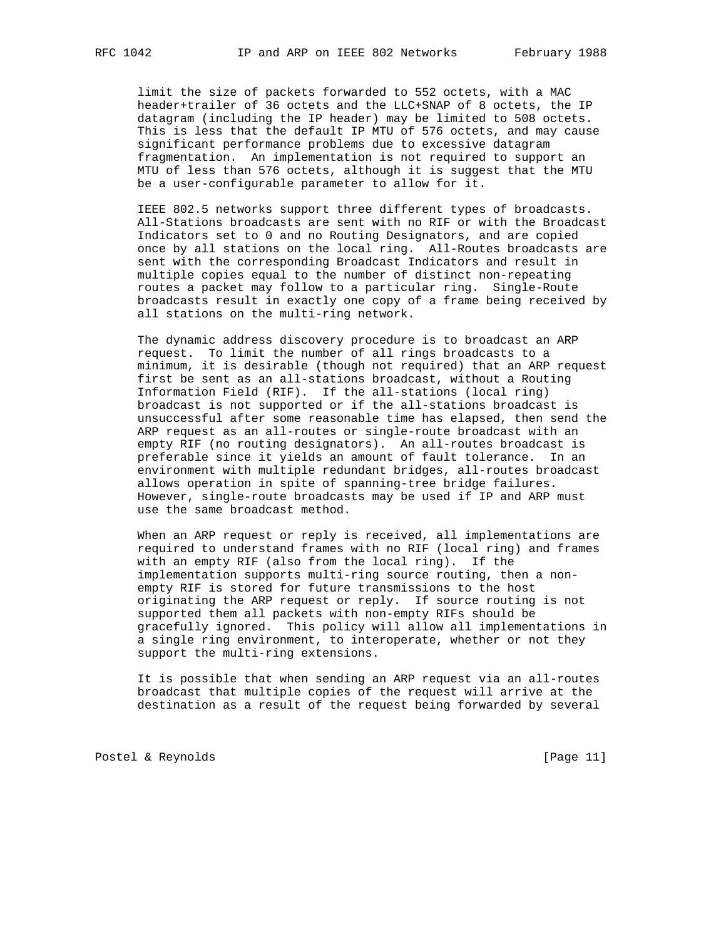limit the size of packets forwarded to 552 octets, with a MAC header+trailer of 36 octets and the LLC+SNAP of 8 octets, the IP datagram (including the IP header) may be limited to 508 octets. This is less that the default IP MTU of 576 octets, and may cause significant performance problems due to excessive datagram fragmentation. An implementation is not required to support an MTU of less than 576 octets, although it is suggest that the MTU be a user-configurable parameter to allow for it.

 IEEE 802.5 networks support three different types of broadcasts. All-Stations broadcasts are sent with no RIF or with the Broadcast Indicators set to 0 and no Routing Designators, and are copied once by all stations on the local ring. All-Routes broadcasts are sent with the corresponding Broadcast Indicators and result in multiple copies equal to the number of distinct non-repeating routes a packet may follow to a particular ring. Single-Route broadcasts result in exactly one copy of a frame being received by all stations on the multi-ring network.

 The dynamic address discovery procedure is to broadcast an ARP request. To limit the number of all rings broadcasts to a minimum, it is desirable (though not required) that an ARP request first be sent as an all-stations broadcast, without a Routing Information Field (RIF). If the all-stations (local ring) broadcast is not supported or if the all-stations broadcast is unsuccessful after some reasonable time has elapsed, then send the ARP request as an all-routes or single-route broadcast with an empty RIF (no routing designators). An all-routes broadcast is preferable since it yields an amount of fault tolerance. In an environment with multiple redundant bridges, all-routes broadcast allows operation in spite of spanning-tree bridge failures. However, single-route broadcasts may be used if IP and ARP must use the same broadcast method.

 When an ARP request or reply is received, all implementations are required to understand frames with no RIF (local ring) and frames with an empty RIF (also from the local ring). If the implementation supports multi-ring source routing, then a non empty RIF is stored for future transmissions to the host originating the ARP request or reply. If source routing is not supported them all packets with non-empty RIFs should be gracefully ignored. This policy will allow all implementations in a single ring environment, to interoperate, whether or not they support the multi-ring extensions.

 It is possible that when sending an ARP request via an all-routes broadcast that multiple copies of the request will arrive at the destination as a result of the request being forwarded by several

Postel & Reynolds [Page 11]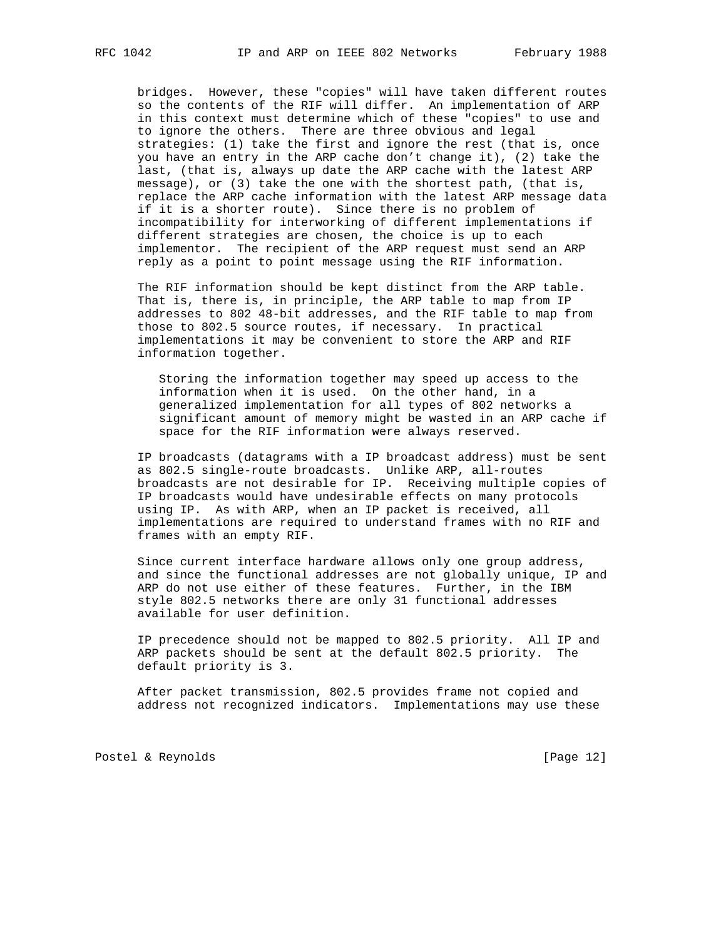bridges. However, these "copies" will have taken different routes so the contents of the RIF will differ. An implementation of ARP in this context must determine which of these "copies" to use and to ignore the others. There are three obvious and legal strategies: (1) take the first and ignore the rest (that is, once you have an entry in the ARP cache don't change it), (2) take the last, (that is, always up date the ARP cache with the latest ARP message), or (3) take the one with the shortest path, (that is, replace the ARP cache information with the latest ARP message data if it is a shorter route). Since there is no problem of incompatibility for interworking of different implementations if different strategies are chosen, the choice is up to each implementor. The recipient of the ARP request must send an ARP reply as a point to point message using the RIF information.

 The RIF information should be kept distinct from the ARP table. That is, there is, in principle, the ARP table to map from IP addresses to 802 48-bit addresses, and the RIF table to map from those to 802.5 source routes, if necessary. In practical implementations it may be convenient to store the ARP and RIF information together.

 Storing the information together may speed up access to the information when it is used. On the other hand, in a generalized implementation for all types of 802 networks a significant amount of memory might be wasted in an ARP cache if space for the RIF information were always reserved.

 IP broadcasts (datagrams with a IP broadcast address) must be sent as 802.5 single-route broadcasts. Unlike ARP, all-routes broadcasts are not desirable for IP. Receiving multiple copies of IP broadcasts would have undesirable effects on many protocols using IP. As with ARP, when an IP packet is received, all implementations are required to understand frames with no RIF and frames with an empty RIF.

 Since current interface hardware allows only one group address, and since the functional addresses are not globally unique, IP and ARP do not use either of these features. Further, in the IBM style 802.5 networks there are only 31 functional addresses available for user definition.

 IP precedence should not be mapped to 802.5 priority. All IP and ARP packets should be sent at the default 802.5 priority. The default priority is 3.

 After packet transmission, 802.5 provides frame not copied and address not recognized indicators. Implementations may use these

Postel & Reynolds [Page 12]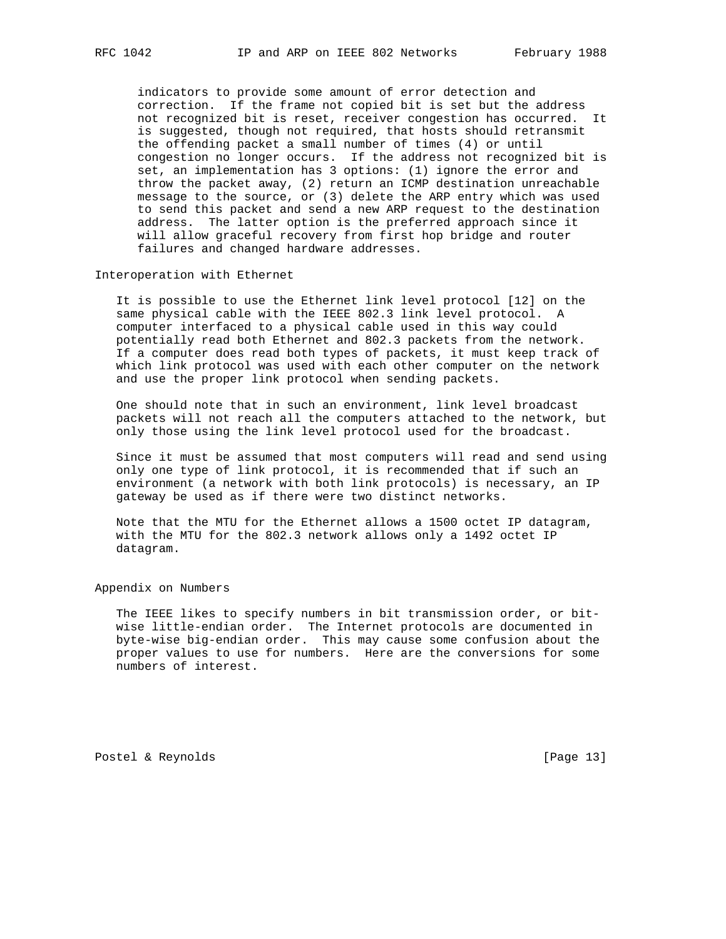indicators to provide some amount of error detection and correction. If the frame not copied bit is set but the address not recognized bit is reset, receiver congestion has occurred. It is suggested, though not required, that hosts should retransmit the offending packet a small number of times (4) or until congestion no longer occurs. If the address not recognized bit is set, an implementation has 3 options: (1) ignore the error and throw the packet away, (2) return an ICMP destination unreachable message to the source, or (3) delete the ARP entry which was used to send this packet and send a new ARP request to the destination address. The latter option is the preferred approach since it will allow graceful recovery from first hop bridge and router failures and changed hardware addresses.

## Interoperation with Ethernet

 It is possible to use the Ethernet link level protocol [12] on the same physical cable with the IEEE 802.3 link level protocol. A computer interfaced to a physical cable used in this way could potentially read both Ethernet and 802.3 packets from the network. If a computer does read both types of packets, it must keep track of which link protocol was used with each other computer on the network and use the proper link protocol when sending packets.

 One should note that in such an environment, link level broadcast packets will not reach all the computers attached to the network, but only those using the link level protocol used for the broadcast.

 Since it must be assumed that most computers will read and send using only one type of link protocol, it is recommended that if such an environment (a network with both link protocols) is necessary, an IP gateway be used as if there were two distinct networks.

 Note that the MTU for the Ethernet allows a 1500 octet IP datagram, with the MTU for the 802.3 network allows only a 1492 octet IP datagram.

#### Appendix on Numbers

 The IEEE likes to specify numbers in bit transmission order, or bit wise little-endian order. The Internet protocols are documented in byte-wise big-endian order. This may cause some confusion about the proper values to use for numbers. Here are the conversions for some numbers of interest.

Postel & Reynolds [Page 13]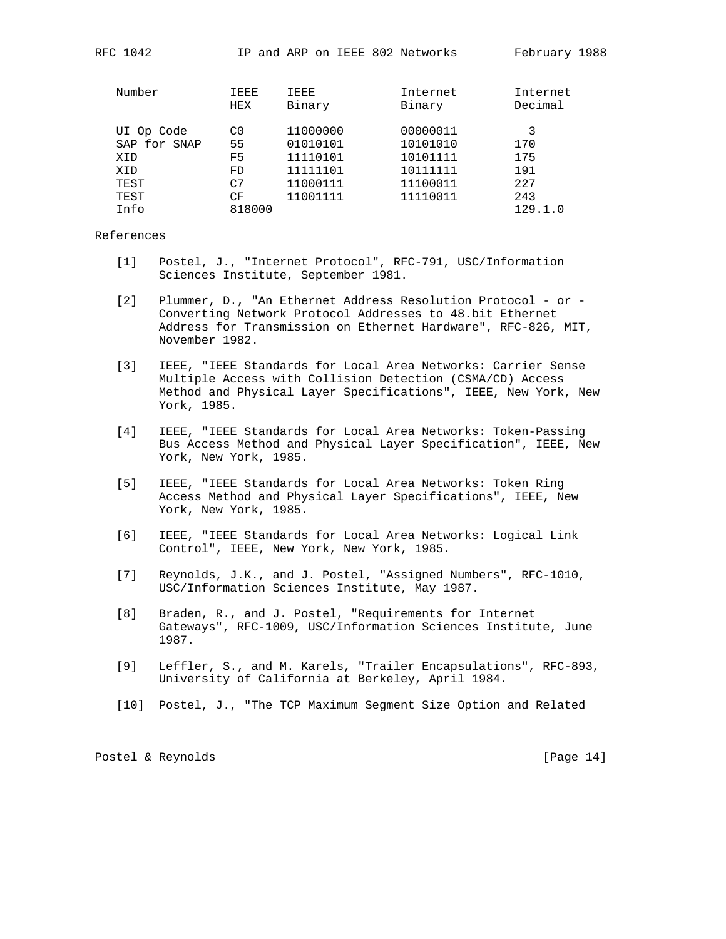| Number       | IEEE<br>HEX    | IEEE<br>Binary | Internet<br>Binary | Internet<br>Decimal |
|--------------|----------------|----------------|--------------------|---------------------|
| UI Op Code   | C <sub>0</sub> | 11000000       | 00000011           | 3                   |
| SAP for SNAP | 55             | 01010101       | 10101010           | 170                 |
| XID          | F5             | 11110101       | 10101111           | 175                 |
| XID          | FD             | 11111101       | 10111111           | 191                 |
| TEST         | C <sub>7</sub> | 11000111       | 11100011           | 227                 |
| TEST         | СF             | 11001111       | 11110011           | 243                 |
| Tnfo         | 818000         |                |                    | 129.1.0             |

## References

- [1] Postel, J., "Internet Protocol", RFC-791, USC/Information Sciences Institute, September 1981.
- [2] Plummer, D., "An Ethernet Address Resolution Protocol or Converting Network Protocol Addresses to 48.bit Ethernet Address for Transmission on Ethernet Hardware", RFC-826, MIT, November 1982.
- [3] IEEE, "IEEE Standards for Local Area Networks: Carrier Sense Multiple Access with Collision Detection (CSMA/CD) Access Method and Physical Layer Specifications", IEEE, New York, New York, 1985.
- [4] IEEE, "IEEE Standards for Local Area Networks: Token-Passing Bus Access Method and Physical Layer Specification", IEEE, New York, New York, 1985.
- [5] IEEE, "IEEE Standards for Local Area Networks: Token Ring Access Method and Physical Layer Specifications", IEEE, New York, New York, 1985.
- [6] IEEE, "IEEE Standards for Local Area Networks: Logical Link Control", IEEE, New York, New York, 1985.
- [7] Reynolds, J.K., and J. Postel, "Assigned Numbers", RFC-1010, USC/Information Sciences Institute, May 1987.
- [8] Braden, R., and J. Postel, "Requirements for Internet Gateways", RFC-1009, USC/Information Sciences Institute, June 1987.
- [9] Leffler, S., and M. Karels, "Trailer Encapsulations", RFC-893, University of California at Berkeley, April 1984.
- [10] Postel, J., "The TCP Maximum Segment Size Option and Related

Postel & Reynolds [Page 14]